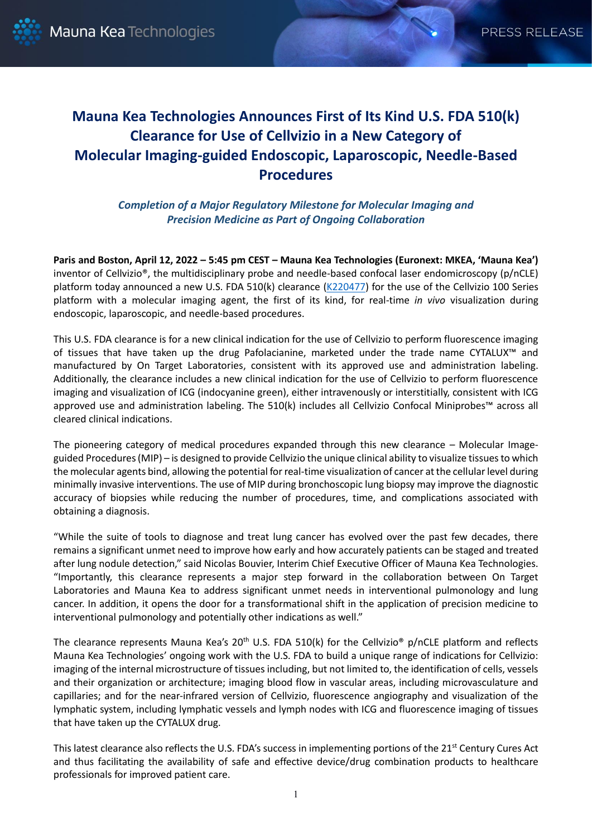# **Mauna Kea Technologies Announces First of Its Kind U.S. FDA 510(k) Clearance for Use of Cellvizio in a New Category of Molecular Imaging-guided Endoscopic, Laparoscopic, Needle-Based Procedures**

*Completion of a Major Regulatory Milestone for Molecular Imaging and Precision Medicine as Part of Ongoing Collaboration*

**Paris and Boston, April 12, 2022 – 5:45 pm CEST – Mauna Kea Technologies (Euronext: MKEA, 'Mauna Kea')** inventor of Cellvizio®, the multidisciplinary probe and needle-based confocal laser endomicroscopy (p/nCLE) platform today announced a new U.S. FDA 510(k) clearance [\(K220477\)](https://www.accessdata.fda.gov/scripts/cdrh/cfdocs/cfpmn/pmn.cfm?ID=K220477) for the use of the Cellvizio 100 Series platform with a molecular imaging agent, the first of its kind, for real-time *in vivo* visualization during endoscopic, laparoscopic, and needle-based procedures.

This U.S. FDA clearance is for a new clinical indication for the use of Cellvizio to perform fluorescence imaging of tissues that have taken up the drug Pafolacianine, marketed under the trade name CYTALUX™ and manufactured by On Target Laboratories, consistent with its approved use and administration labeling. Additionally, the clearance includes a new clinical indication for the use of Cellvizio to perform fluorescence imaging and visualization of ICG (indocyanine green), either intravenously or interstitially, consistent with ICG approved use and administration labeling. The 510(k) includes all Cellvizio Confocal Miniprobes™ across all cleared clinical indications.

The pioneering category of medical procedures expanded through this new clearance – Molecular Imageguided Procedures (MIP) – is designed to provide Cellvizio the unique clinical ability to visualize tissues to which the molecular agents bind, allowing the potential for real-time visualization of cancer at the cellular level during minimally invasive interventions. The use of MIP during bronchoscopic lung biopsy may improve the diagnostic accuracy of biopsies while reducing the number of procedures, time, and complications associated with obtaining a diagnosis.

"While the suite of tools to diagnose and treat lung cancer has evolved over the past few decades, there remains a significant unmet need to improve how early and how accurately patients can be staged and treated after lung nodule detection," said Nicolas Bouvier, Interim Chief Executive Officer of Mauna Kea Technologies. "Importantly, this clearance represents a major step forward in the collaboration between On Target Laboratories and Mauna Kea to address significant unmet needs in interventional pulmonology and lung cancer. In addition, it opens the door for a transformational shift in the application of precision medicine to interventional pulmonology and potentially other indications as well."

The clearance represents Mauna Kea's  $20<sup>th</sup>$  U.S. FDA 510(k) for the Cellvizio<sup>®</sup> p/nCLE platform and reflects Mauna Kea Technologies' ongoing work with the U.S. FDA to build a unique range of indications for Cellvizio: imaging of the internal microstructure of tissues including, but not limited to, the identification of cells, vessels and their organization or architecture; imaging blood flow in vascular areas, including microvasculature and capillaries; and for the near-infrared version of Cellvizio, fluorescence angiography and visualization of the lymphatic system, including lymphatic vessels and lymph nodes with ICG and fluorescence imaging of tissues that have taken up the CYTALUX drug.

This latest clearance also reflects the U.S. FDA's success in implementing portions of the 21<sup>st</sup> Century Cures Act and thus facilitating the availability of safe and effective device/drug combination products to healthcare professionals for improved patient care.